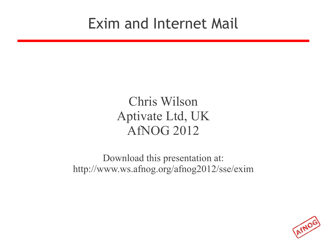#### Exim and Internet Mail

#### Chris Wilson Aptivate Ltd, UK AfNOG 2012

Download this presentation at: http://www.ws.afnog.org/afnog2012/sse/exim

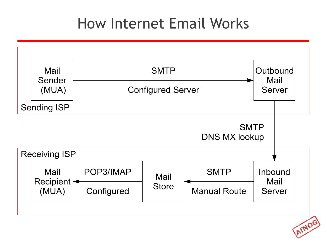#### How Internet Email Works



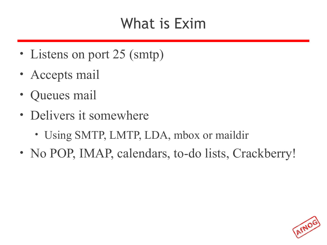#### What is Exim

- Listens on port 25 (smtp)
- Accepts mail
- Queues mail
- Delivers it somewhere
	- Using SMTP, LMTP, LDA, mbox or maildir
- No POP, IMAP, calendars, to-do lists, Crackberry!

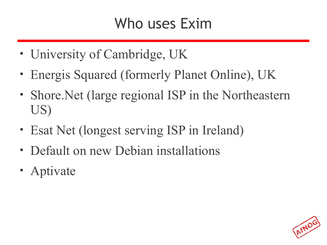#### Who uses Exim

- University of Cambridge, UK
- Energis Squared (formerly Planet Online), UK
- Shore. Net (large regional ISP in the Northeastern US)
- Esat Net (longest serving ISP in Ireland)
- Default on new Debian installations
- Aptivate

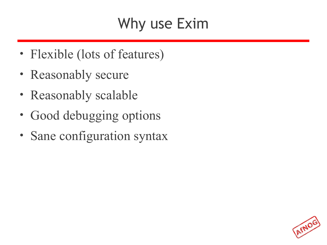#### Why use Exim

- Flexible (lots of features)
- Reasonably secure
- Reasonably scalable
- Good debugging options
- Sane configuration syntax

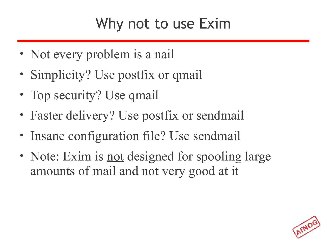#### Why not to use Exim

- Not every problem is a nail
- Simplicity? Use postfix or qmail
- Top security? Use qmail
- Faster delivery? Use postfix or sendmail
- Insane configuration file? Use sendmail
- Note: Exim is <u>not</u> designed for spooling large amounts of mail and not very good at it

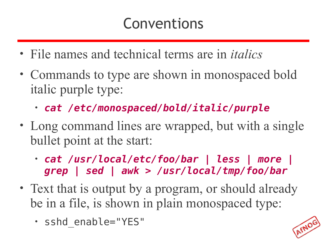#### Conventions

- File names and technical terms are in *italics*
- Commands to type are shown in monospaced bold italic purple type:
	- *cat /etc/monospaced/bold/italic/purple*
- Long command lines are wrapped, but with a single bullet point at the start:
	- *cat /usr/local/etc/foo/bar | less | more | grep | sed | awk > /usr/local/tmp/foo/bar*
- Text that is output by a program, or should already be in a file, is shown in plain monospaced type:
	- sshd\_enable="YES"

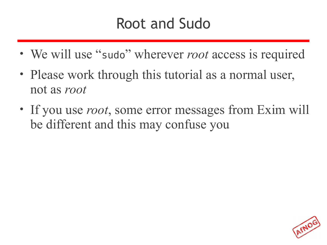#### Root and Sudo

- We will use "sudo" wherever *root* access is required
- Please work through this tutorial as a normal user, not as *root*
- If you use *root*, some error messages from Exim will be different and this may confuse you

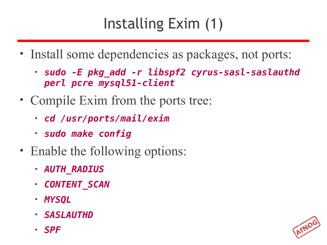# Installing Exim (1)

- Install some dependencies as packages, not ports:
	- *sudo -E pkg\_add -r libspf2 cyrus-sasl-saslauthd perl pcre mysql51-client*
- Compile Exim from the ports tree:
	- *cd /usr/ports/mail/exim*
	- *sudo make config*
- Enable the following options:
	- *AUTH\_RADIUS*
	- *CONTENT\_SCAN*
	- *MYSQL*
	- *SASLAUTHD*
	- *SPF*

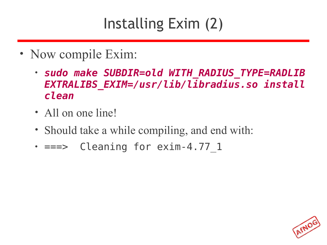# Installing Exim (2)

- Now compile Exim:
	- *sudo make SUBDIR=old WITH\_RADIUS\_TYPE=RADLIB EXTRALIBS\_EXIM=/usr/lib/libradius.so install clean*
	- All on one line!
	- Should take a while compiling, and end with:
	- $==$  Cleaning for exim-4.77 1

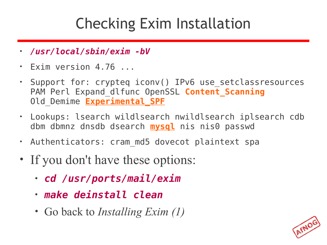#### Checking Exim Installation

- */usr/local/sbin/exim -bV*
- Exim version 4.76 ...
- Support for: crypteq iconv() IPv6 use setclassresources PAM Perl Expand dlfunc OpenSSL **Content Scanning** Old Demime **Experimental SPF**
- Lookups: lsearch wildlsearch nwildlsearch iplsearch cdb dbm dbmnz dnsdb dsearch **mysql** nis nis0 passwd
- Authenticators: cram\_md5 dovecot plaintext spa
- If you don't have these options:
	- *cd /usr/ports/mail/exim*
	- *make deinstall clean*
	- Go back to *Installing Exim (1)*

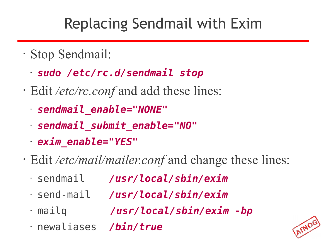# Replacing Sendmail with Exim

- Stop Sendmail:
	- *sudo /etc/rc.d/sendmail stop*
- Edit */etc/rc.conf* and add these lines:
	- *sendmail\_enable="NONE"*
	- *sendmail\_submit\_enable="NO"*
	- *exim\_enable="YES"*
- Edit */etc/mail/mailer.conf* and change these lines:
	- sendmail */usr/local/sbin/exim*
	- send-mail */usr/local/sbin/exim*
	-
	- mailq */usr/local/sbin/exim -bp*
	- newaliases */bin/true*

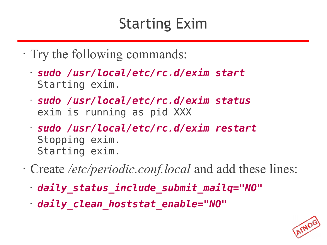#### Starting Exim

- Try the following commands:
	- *sudo /usr/local/etc/rc.d/exim start* Starting exim.
	- *sudo /usr/local/etc/rc.d/exim status* exim is running as pid XXX
	- *sudo /usr/local/etc/rc.d/exim restart* Stopping exim. Starting exim.
- Create */etc/periodic.conf.local* and add these lines:
	- *daily\_status\_include\_submit\_mailq="NO"*
	- *daily\_clean\_hoststat\_enable="NO"*

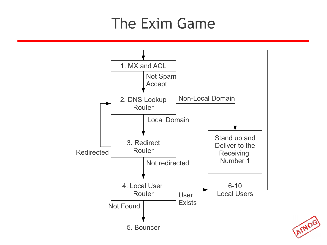#### The Exim Game



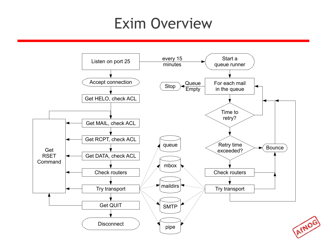#### Exim Overview

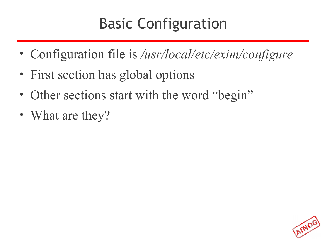#### Basic Configuration

- Configuration file is */usr/local/etc/exim/configure*
- First section has global options
- Other sections start with the word "begin"
- What are they?

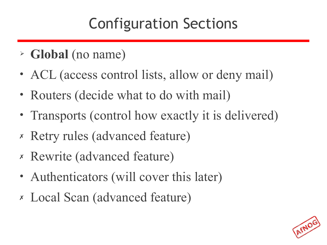# Configuration Sections

- ➢ **Global** (no name)
- ACL (access control lists, allow or deny mail)
- Routers (decide what to do with mail)
- Transports (control how exactly it is delivered)
- ✗ Retry rules (advanced feature)
- ✗ Rewrite (advanced feature)
- Authenticators (will cover this later)
- ✗ Local Scan (advanced feature)

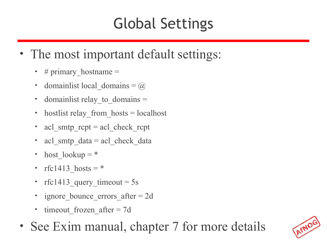# Global Settings

- The most important default settings:
	- # primary hostname  $=$
	- domainlist local domains =  $\omega$
	- domainlist relay to domains  $=$
	- hostlist relay\_from\_hosts = localhost
	- acl smtp  $rcpt = acl$  check  $rcpt$
	- acl smtp  $data = acl$  check data
	- host  $lookup = *$
	- rfc1413 hosts  $=$  \*
	- rfc1413 query timeout =  $5s$
	- ignore bounce errors after  $= 2d$
	- timeout frozen after  $= 7d$
- See Exim manual, chapter 7 for more details

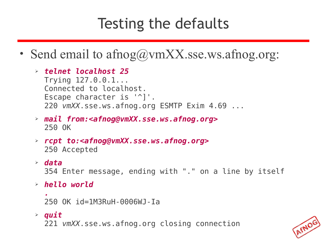#### Testing the defaults

- Send email to afnog@vmXX.sse.ws.afnog.org:
	- ➢ *telnet localhost 25* Trying 127.0.0.1... Connected to localhost. Escape character is '^]'. 220 *vmXX*.sse.ws.afnog.org ESMTP Exim 4.69 ...
	- ➢ *mail from:<afnog@vmXX.sse.ws.afnog.org>* 250 OK
	- ➢ *rcpt to:<afnog@vmXX.sse.ws.afnog.org>* 250 Accepted
	- ➢ *data*

354 Enter message, ending with "." on a line by itself

➢ *hello world*

```
.
250 OK id=1M3RuH-0006WJ-Ia
```
➢ *quit*

221 *vmXX*.sse.ws.afnog.org closing connection

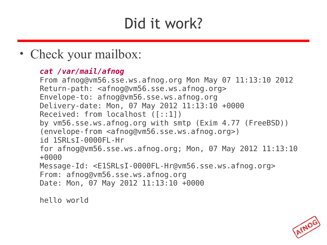#### Did it work?

• Check your mailbox:

#### *cat /var/mail/afnog*

From afnog@vm56.sse.ws.afnog.org Mon May 07 11:13:10 2012 Return-path: <afnog@vm56.sse.ws.afnog.org> Envelope-to: afnog@vm56.sse.ws.afnog.org Delivery-date: Mon, 07 May 2012 11:13:10 +0000 Received: from localhost ([::1]) by vm56.sse.ws.afnog.org with smtp (Exim 4.77 (FreeBSD)) (envelope-from <afnog@vm56.sse.ws.afnog.org>) id 1SRLsI-0000FL-Hr for afnog@vm56.sse.ws.afnog.org; Mon, 07 May 2012 11:13:10 +0000 Message-Id: <E1SRLsI-0000FL-Hr@vm56.sse.ws.afnog.org> From: afnog@vm56.sse.ws.afnog.org Date: Mon, 07 May 2012 11:13:10 +0000

hello world

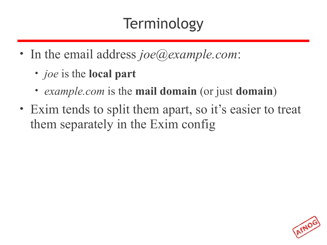# Terminology

- In the email address *joe@example.com*:
	- *joe* is the **local part**
	- *example.com* is the **mail domain** (or just **domain**)
- Exim tends to split them apart, so it's easier to treat them separately in the Exim config

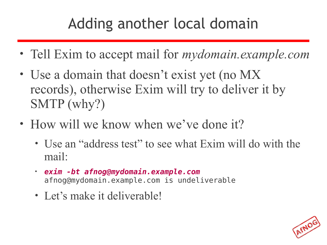# Adding another local domain

- Tell Exim to accept mail for *mydomain.example.com*
- Use a domain that doesn't exist yet (no MX) records), otherwise Exim will try to deliver it by SMTP (why?)
- How will we know when we've done it?
	- Use an "address test" to see what Exim will do with the mail:
	- *exim -bt afnog@mydomain.example.com* afnog@mydomain.example.com is undeliverable
	- Let's make it deliverable!

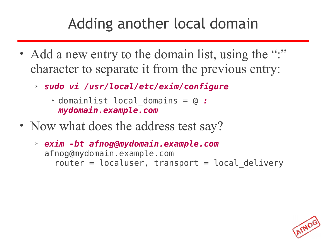#### Adding another local domain

- Add a new entry to the domain list, using the ":" character to separate it from the previous entry:
	- ➢ *sudo vi /usr/local/etc/exim/configure*
		- ➢ domainlist local\_domains = @ *: mydomain.example.com*
- Now what does the address test say?
	- ➢ *exim -bt afnog@mydomain.example.com* afnog@mydomain.example.com  $\text{router} = \text{localuser}, \text{transport} = \text{local delivery}$

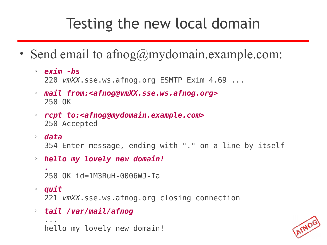#### Testing the new local domain

- Send email to afnog@mydomain.example.com:
	- ➢ *exim -bs* 220 *vmXX*.sse.ws.afnog.org ESMTP Exim 4.69 ...
	- ➢ *mail from:<afnog@vmXX.sse.ws.afnog.org>* 250 OK
	- ➢ *rcpt to:<afnog@mydomain.example.com>* 250 Accepted
	- ➢ *data* 354 Enter message, ending with "." on a line by itself
	- ➢ *hello my lovely new domain!*

*.* 250 OK id=1M3RuH-0006WJ-Ia

➢ *quit*

221 *vmXX*.sse.ws.afnog.org closing connection

➢ *tail /var/mail/afnog*

```
...
hello my lovely new domain!
```
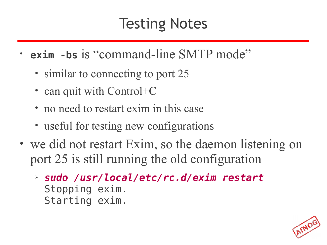#### Testing Notes

- **exim -bs** is "command-line SMTP mode"
	- similar to connecting to port 25
	- can quit with Control+C
	- no need to restart exim in this case
	- useful for testing new configurations
- we did not restart Exim, so the daemon listening on port 25 is still running the old configuration
	- ➢ *sudo /usr/local/etc/rc.d/exim restart* Stopping exim. Starting exim.

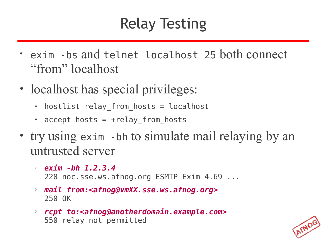# Relay Testing

- exim -bs and telnet localhost 25 both connect "from" localhost
- localhost has special privileges:
	- hostlist relay from hosts = localhost
	- accept hosts = +relay\_from\_hosts
- try using exim -bh to simulate mail relaying by an untrusted server
	- ➢ *exim -bh 1.2.3.4* 220 noc.sse.ws.afnog.org ESMTP Exim 4.69 ...
	- ➢ *mail from:<afnog@vmXX.sse.ws.afnog.org>* 250 OK
	- ➢ *rcpt to:<afnog@anotherdomain.example.com>* 550 relay not permitted

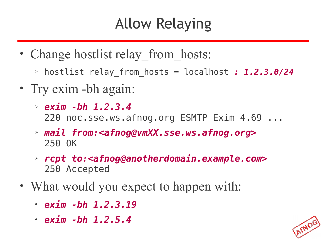# Allow Relaying

- Change hostlist relay from hosts:
	- ➢ hostlist relay\_from\_hosts = localhost *: 1.2.3.0/24*
- Try exim -bh again:
	- ➢ *exim -bh 1.2.3.4* 220 noc.sse.ws.afnog.org ESMTP Exim 4.69 ...
	- ➢ *mail from:<afnog@vmXX.sse.ws.afnog.org>* 250 OK
	- ➢ *rcpt to:<afnog@anotherdomain.example.com>* 250 Accepted
- What would you expect to happen with:
	- *exim -bh 1.2.3.19*
	- *exim -bh 1.2.5.4*

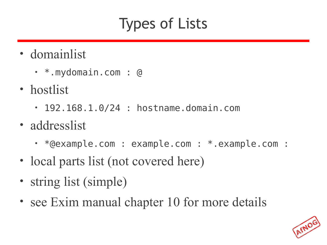#### Types of Lists

- domainlist
	- \*.mydomain.com : @
- hostlist
	- 192.168.1.0/24 : hostname.domain.com
- addresslist
	- \*@example.com : example.com : \*.example.com :
- local parts list (not covered here)
- string list (simple)
- see Exim manual chapter 10 for more details

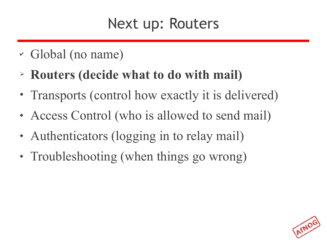#### Next up: Routers

- ✔ Global (no name)
- ➢ **Routers (decide what to do with mail)**
- Transports (control how exactly it is delivered)
- Access Control (who is allowed to send mail)
- Authenticators (logging in to relay mail)
- Troubleshooting (when things go wrong)

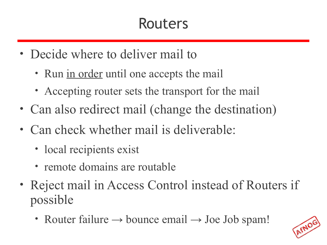#### Routers

- Decide where to deliver mail to
	- Run in order until one accepts the mail
	- Accepting router sets the transport for the mail
- Can also redirect mail (change the destination)
- Can check whether mail is deliverable:
	- local recipients exist
	- remote domains are routable
- Reject mail in Access Control instead of Routers if possible
	- Router failure  $\rightarrow$  bounce email  $\rightarrow$  Joe Job spam!

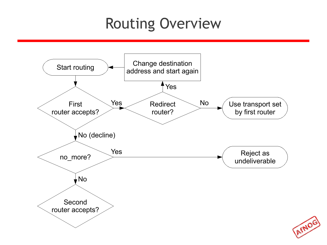#### Routing Overview

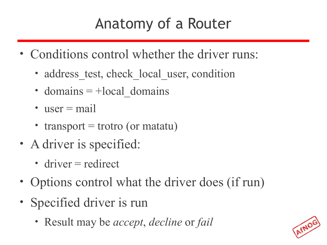#### Anatomy of a Router

- Conditions control whether the driver runs:
	- address test, check local user, condition
	- domains  $= +$ local domains
	- user  $=$  mail
	- transport  $=$  trotro (or matatu)
- A driver is specified:
	- driver = redirect
- Options control what the driver does (if run)
- Specified driver is run
	- Result may be *accept*, *decline* or *fail*

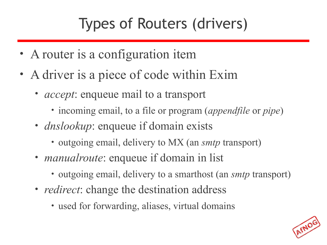# Types of Routers (drivers)

- A router is a configuration item
- A driver is a piece of code within Exim
	- *accept*: enqueue mail to a transport
		- incoming email, to a file or program (*appendfile* or *pipe*)
	- *dnslookup*: enqueue if domain exists
		- outgoing email, delivery to MX (an *smtp* transport)
	- *manualroute*: enqueue if domain in list
		- outgoing email, delivery to a smarthost (an *smtp* transport)
	- *redirect*: change the destination address
		- used for forwarding, aliases, virtual domains

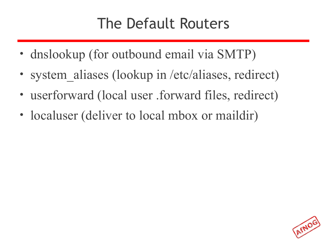#### The Default Routers

- dnslookup (for outbound email via SMTP)
- system aliases (lookup in /etc/aliases, redirect)
- userforward (local user .forward files, redirect)
- localuser (deliver to local mbox or maildir)

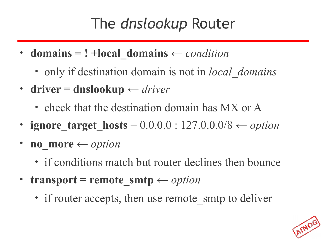#### The *dnslookup* Router

- **domains = ! +local\_domains** *← condition*
	- only if destination domain is not in *local\_domains*
- **driver = dnslookup** *← driver*
	- check that the destination domain has MX or A
- **ignore target hosts** =  $0.0.0.0 : 127.0.0.0/8$   $\leftarrow$  *option*
- **no\_more**  $\leftarrow$  *option* 
	- if conditions match but router declines then bounce
- **transport** = remote smtp  $\leftarrow$  *option* 
	- if router accepts, then use remote smtp to deliver

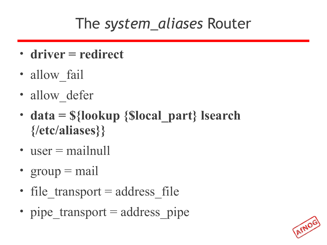#### The *system\_aliases* Router

- **driver = redirect**
- allow fail
- allow defer
- **data = \${lookup {\$local\_part} lsearch {/etc/aliases}}**
- user  $=$  mailnull
- $group = mail$
- file transport  $=$  address file
- pipe transport  $=$  address pipe

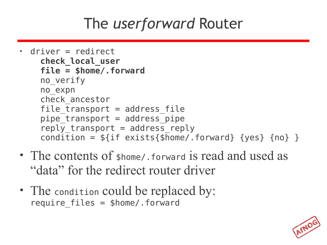### The *userforward* Router

- driver = redirect **check\_local\_user file = \$home/.forward** no\_verify no\_expn check\_ancestor file  $transport = address file$ pipe  $transport = address pipe$ reply transport = address reply condition =  $f\{if existsfshome/ forward\} \{yes\} \{no\}$
- The contents of shome/ forward is read and used as "data" for the redirect router driver
- The condition could be replaced by: require  $files = $home/}.forward$

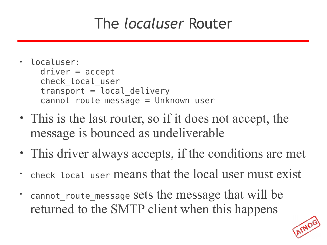#### The *localuser* Router

- localuser: driver = accept check\_local\_user  $transport = local$  delivery cannot route message = Unknown user
- This is the last router, so if it does not accept, the message is bounced as undeliverable
- This driver always accepts, if the conditions are met
- check local user means that the local user must exist
- cannot\_route\_message sets the message that will be returned to the SMTP client when this happens

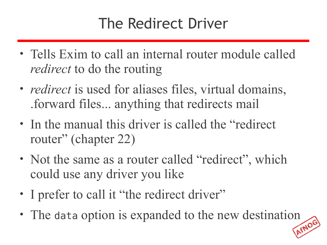### The Redirect Driver

- Tells Exim to call an internal router module called *redirect* to do the routing
- *redirect* is used for aliases files, virtual domains, .forward files... anything that redirects mail
- In the manual this driver is called the "redirect" router" (chapter 22)
- Not the same as a router called "redirect", which could use any driver you like
- I prefer to call it "the redirect driver"
- The data option is expanded to the new destination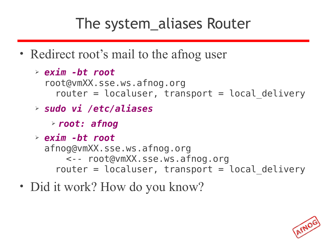## The system\_aliases Router

- Redirect root's mail to the afnog user
	- ➢ *exim -bt root* root@vmXX.sse.ws.afnog.org router =  $localuser$ , transport = local delivery
	- ➢ *sudo vi /etc/aliases*
		- ➢ *root: afnog*
	- ➢ *exim -bt root* afnog@vmXX.sse.ws.afnog.org <-- root@vmXX.sse.ws.afnog.org router =  $localuser$ , transport =  $local$  delivery
- Did it work? How do you know?

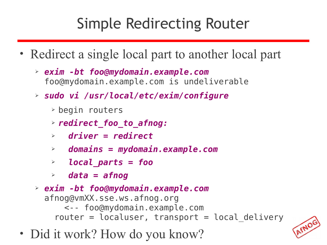## Simple Redirecting Router

- Redirect a single local part to another local part
	- ➢ *exim -bt foo@mydomain.example.com* foo@mydomain.example.com is undeliverable
	- ➢ *sudo vi /usr/local/etc/exim/configure*
		- ➢ begin routers
		- ➢ *redirect\_foo\_to\_afnog:*
		- ➢ *driver = redirect*
		- ➢ *domains = mydomain.example.com*
		- ➢ *local\_parts = foo*
		- ➢ *data = afnog*
	- ➢ *exim -bt foo@mydomain.example.com* afnog@vmXX.sse.ws.afnog.org <-- foo@mydomain.example.com router =  $localuser$ , transport =  $local$  delivery
- Did it work? How do you know?

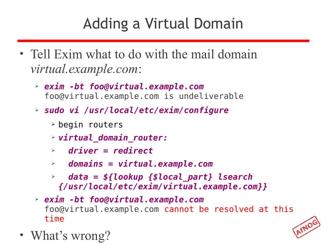## Adding a Virtual Domain

- Tell Exim what to do with the mail domain *virtual.example.com*:
	- ➢ *exim -bt foo@virtual.example.com* foo@virtual.example.com is undeliverable
	- ➢ *sudo vi /usr/local/etc/exim/configure*
		- ➢ begin routers
		- ➢ *virtual\_domain\_router:*
		- ➢ *driver = redirect*
		- ➢ *domains = virtual.example.com*
		- ➢ *data = \${lookup {\$local\_part} lsearch {/usr/local/etc/exim/virtual.example.com}}*
	- ➢ *exim -bt foo@virtual.example.com* foo@virtual.example.com cannot be resolved at this time



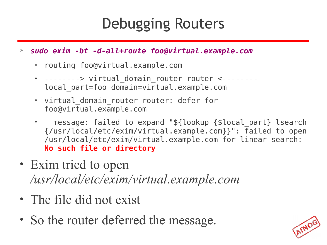#### Debugging Routers

#### ➢ *sudo exim -bt -d-all+route foo@virtual.example.com*

- routing foo@virtual.example.com
- --------> virtual domain router router <-------local\_part=foo domain=virtual.example.com
- virtual domain router router: defer for foo@virtual.example.com
- message: failed to expand "\${lookup {\$local part} lsearch {/usr/local/etc/exim/virtual.example.com}}": failed to open /usr/local/etc/exim/virtual.example.com for linear search: **No such file or directory**
- Exim tried to open */usr/local/etc/exim/virtual.example.com*
- The file did not exist
- So the router deferred the message.

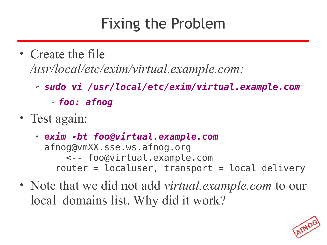#### Fixing the Problem

- Create the file */usr/local/etc/exim/virtual.example.com:*
	- ➢ *sudo vi /usr/local/etc/exim/virtual.example.com*
		- ➢ *foo: afnog*
- Test again:
	- ➢ *exim -bt foo@virtual.example.com* afnog@vmXX.sse.ws.afnog.org <-- foo@virtual.example.com router =  $localuser$ , transport =  $local$  delivery
- Note that we did not add *virtual.example.com* to our local domains list. Why did it work?

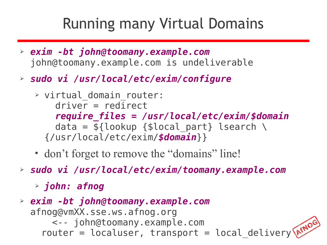#### Running many Virtual Domains

- ➢ *exim -bt john@toomany.example.com* john@toomany.example.com is undeliverable
- ➢ *sudo vi /usr/local/etc/exim/configure*
	- ➢ virtual\_domain\_router: driver = redirect *require\_files = /usr/local/etc/exim/\$domain* data =  $${lookup} {Slocal part} lesserch \setminus$ {/usr/local/etc/exim/*\$domain*}}
	- don't forget to remove the "domains" line!
- ➢ *sudo vi /usr/local/etc/exim/toomany.example.com*
	- ➢ *john: afnog*
- ➢ *exim -bt john@toomany.example.com* afnog@vmXX.sse.ws.afnog.org <-- john@toomany.example.com router = localuser, transport = local\_delivery\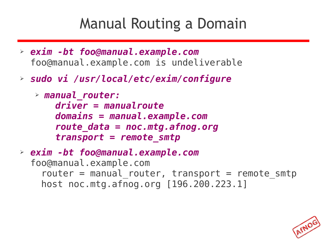#### Manual Routing a Domain

- ➢ *exim -bt foo@manual.example.com* foo@manual.example.com is undeliverable
- ➢ *sudo vi /usr/local/etc/exim/configure*

```
➢ manual_router:
    driver = manualroute
    domains = manual.example.com
     route_data = noc.mtg.afnog.org
     transport = remote_smtp
```

```
➢ exim -bt foo@manual.example.com
  foo@manual.example.com
    router = manual router, transport = remote smtp
     host noc.mtg.afnog.org [196.200.223.1]
```
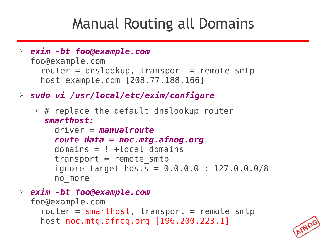#### Manual Routing all Domains

- ➢ *exim -bt foo@example.com* foo@example.com router = dnslookup, transport = remote smtp host example.com [208.77.188.166]
- ➢ *sudo vi /usr/local/etc/exim/configure*
	- $\rightarrow$  # replace the default dnslookup router *smarthost:*

```
 driver = manualroute
 route_data = noc.mtg.afnog.org
domains = ! +local domains
transport = remote smtpignore target hosts = 0.0.0.0 : 127.0.0.0/8 no_more
```
➢ *exim -bt foo@example.com*

```
foo@example.com
  router = smarthost, transport = remote smtp
  host noc.mtg.afnog.org [196.200.223.1]
```
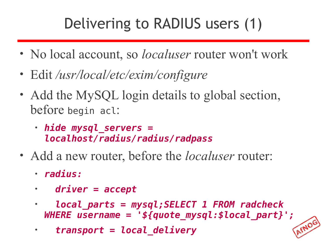## Delivering to RADIUS users (1)

- No local account, so *localuser* router won't work
- Edit */usr/local/etc/exim/configure*
- Add the MySQL login details to global section, before begin acl:
	- *hide mysql\_servers = localhost/radius/radius/radpass*
- Add a new router, before the *localuser* router:
	- *radius:*
	- • *driver = accept*
	- • *local\_parts = mysql;SELECT 1 FROM radcheck WHERE username = '\${quote\_mysql:\$local\_part}';*
	- • *transport = local\_delivery*

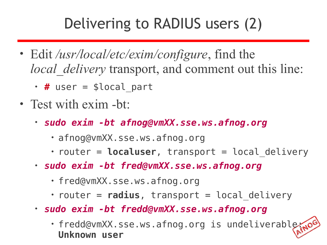### Delivering to RADIUS users (2)

- Edit */usr/local/etc/exim/configure*, find the *local delivery* transport, and comment out this line:
	- # user = \$local part
- Test with exim -bt:
	- *sudo exim -bt afnog@vmXX.sse.ws.afnog.org* 
		- afnog@vmXX.sse.ws.afnog.org
		- router = **localuser**, transport = local delivery
	- *sudo exim -bt fred@vmXX.sse.ws.afnog.org*
		- fred@vmXX.sse.ws.afnog.org
		- router = **radius**, transport = local delivery
	- *sudo exim -bt fredd@vmXX.sse.ws.afnog.org*
		- fredd@vmXX.sse.ws.afnog.org is undeliverable: **Unknown user**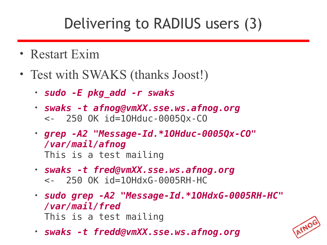## Delivering to RADIUS users (3)

- Restart Exim
- Test with SWAKS (thanks Joost!)
	- *sudo -E pkg\_add -r swaks*
	- *swaks -t afnog@vmXX.sse.ws.afnog.org*  <- 250 OK id=1OHduc-0005Qx-CO
	- *grep -A2 "Message-Id.\*1OHduc-0005Qx-CO" /var/mail/afnog* This is a test mailing
	- *swaks -t fred@vmXX.sse.ws.afnog.org*  <- 250 OK id=1OHdxG-0005RH-HC
	- *sudo grep -A2 "Message-Id.\*1OHdxG-0005RH-HC" /var/mail/fred* This is a test mailing
	- *swaks -t fredd@vmXX.sse.ws.afnog.org*

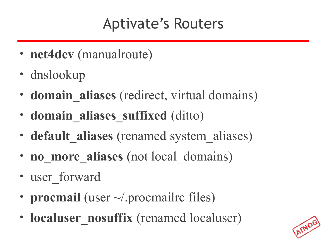## Aptivate's Routers

- **net4dev** (manualroute)
- dnslookup
- **domain aliases** (redirect, virtual domains)
- **domain\_aliases\_suffixed** (ditto)
- **default aliases** (renamed system aliases)
- **no more aliases** (not local domains)
- user forward
- **procmail** (user  $\sim$ /.procmailrc files)
- **localuser** nosuffix (renamed localuser)

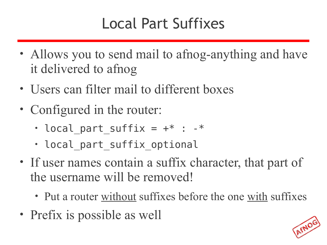## Local Part Suffixes

- Allows you to send mail to afnog-anything and have it delivered to afnog
- Users can filter mail to different boxes
- Configured in the router:
	- local part suffix =  $+*$  :  $-*$
	- local part suffix optional
- If user names contain a suffix character, that part of the username will be removed!
	- Put a router without suffixes before the one with suffixes
- Prefix is possible as well

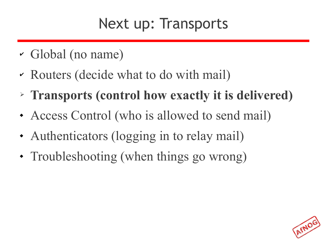#### Next up: Transports

- ✔ Global (no name)
- ✔ Routers (decide what to do with mail)
- ➢ **Transports (control how exactly it is delivered)**
- Access Control (who is allowed to send mail)
- Authenticators (logging in to relay mail)
- Troubleshooting (when things go wrong)

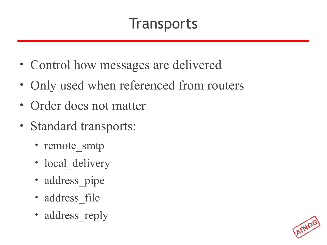#### **Transports**

- Control how messages are delivered
- Only used when referenced from routers
- Order does not matter
- Standard transports:
	- remote smtp
	- local delivery
	- address\_pipe
	- address file
	- address reply

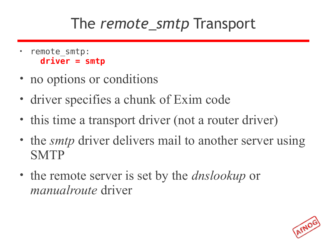#### The *remote\_smtp* Transport

- remote smtp: **driver = smtp**
- no options or conditions
- driver specifies a chunk of Exim code
- this time a transport driver (not a router driver)
- the *smtp* driver delivers mail to another server using **SMTP**
- the remote server is set by the *dnslookup* or *manualroute* driver

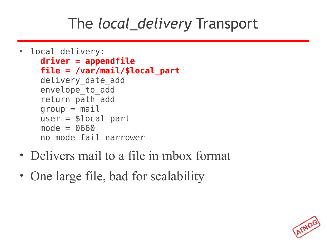## The *local\_delivery* Transport

```
• local delivery:
     driver = appendfile
     file = /var/mail/$local_part
    delivery date add
     envelope_to_add
     return_path_add
    qroup = mailuser = $local part mode = 0660
    no mode fail narrower
```
- Delivers mail to a file in mbox format
- One large file, bad for scalability

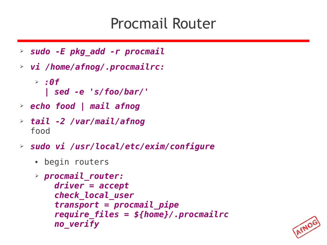#### Procmail Router

- ➢ *sudo -E pkg\_add -r procmail*
- ➢ *vi /home/afnog/.procmailrc:*
	- ➢ *:0f | sed -e 's/foo/bar/'*
- ➢ *echo food | mail afnog*
- ➢ *tail -2 /var/mail/afnog* food
- ➢ *sudo vi /usr/local/etc/exim/configure*
	- begin routers

```
➢ procmail_router:
     driver = accept
     check_local_user
     transport = procmail_pipe
     require_files = ${home}/.procmailrc
     no_verify
```
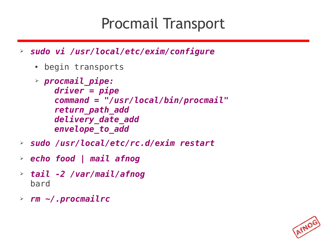#### Procmail Transport

- ➢ *sudo vi /usr/local/etc/exim/configure*
	- begin transports
	- ➢ *procmail\_pipe: driver = pipe command = "/usr/local/bin/procmail" return\_path\_add delivery\_date\_add envelope\_to\_add*
- ➢ *sudo /usr/local/etc/rc.d/exim restart*
- ➢ *echo food | mail afnog*
- ➢ *tail -2 /var/mail/afnog* bard
- ➢ *rm ~/.procmailrc*

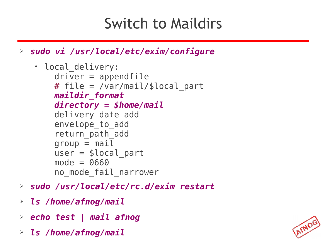### Switch to Maildirs

➢ *sudo vi /usr/local/etc/exim/configure*

```
• local delivery:
     driver = appendfile
     # file = /var/mail/$local_part
     maildir_format
     directory = $home/mail
    delivery date add
     envelope_to_add
    return path add
    group = mailuser = <math>$local</math> part mode = 0660
    no mode fail narrower
```
- ➢ *sudo /usr/local/etc/rc.d/exim restart*
- ➢ *ls /home/afnog/mail*
- ➢ *echo test | mail afnog*
- ➢ *ls /home/afnog/mail*

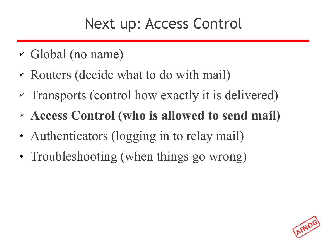#### Next up: Access Control

- ✔ Global (no name)
- ✔ Routers (decide what to do with mail)
- ✔ Transports (control how exactly it is delivered)
- ➢ **Access Control (who is allowed to send mail)**
- Authenticators (logging in to relay mail)
- Troubleshooting (when things go wrong)

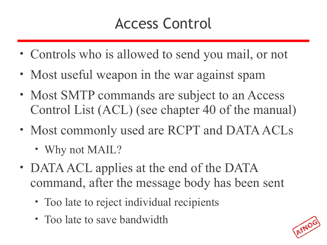## Access Control

- Controls who is allowed to send you mail, or not
- Most useful weapon in the war against spam
- Most SMTP commands are subject to an Access Control List (ACL) (see chapter 40 of the manual)
- Most commonly used are RCPT and DATA ACLs
	- Why not MAIL?
- DATA ACL applies at the end of the DATA command, after the message body has been sent
	- Too late to reject individual recipients
	- Too late to save bandwidth

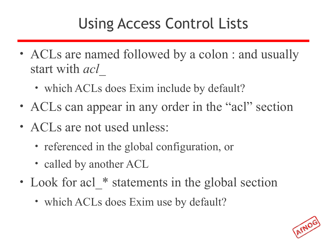## Using Access Control Lists

- ACLs are named followed by a colon : and usually start with *acl\_*
	- which ACLs does Exim include by default?
- ACLs can appear in any order in the "acl" section
- ACLs are not used unless:
	- referenced in the global configuration, or
	- called by another ACL
- Look for acl \* statements in the global section
	- which ACLs does Exim use by default?

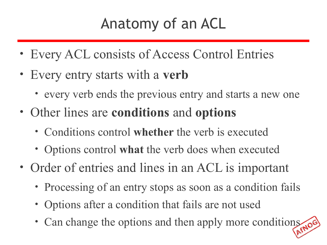## Anatomy of an ACL

- Every ACL consists of Access Control Entries
- Every entry starts with a **verb**
	- every verb ends the previous entry and starts a new one
- Other lines are **conditions** and **options**
	- Conditions control **whether** the verb is executed
	- Options control **what** the verb does when executed
- Order of entries and lines in an ACL is important
	- Processing of an entry stops as soon as a condition fails
	- Options after a condition that fails are not used
	- Can change the options and then apply more conditions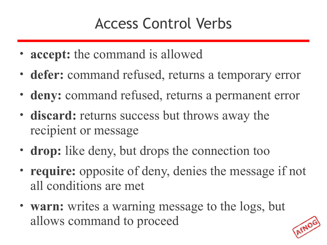## Access Control Verbs

- **accept:** the command is allowed
- **defer:** command refused, returns a temporary error
- **deny:** command refused, returns a permanent error
- **discard:** returns success but throws away the recipient or message
- **drop:** like deny, but drops the connection too
- **require:** opposite of deny, denies the message if not all conditions are met
- **warn:** writes a warning message to the logs, but allows command to proceed

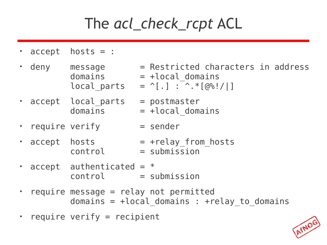## The *acl\_check\_rcpt* ACL

- accept hosts = :
- $\cdot$  deny message  $=$  Restricted characters in address  $domains = +local domain$ local parts =  $^{\wedge}$ [.] :  $^{\wedge}$ .  $^*[@\%!/]]$ 
	- $\cdot$  accept local parts = postmaster
- -
	-
	- - $domains = +local domain$
	- require verify  $=$  sender
	- accept hosts  $-$  +relay from hosts  $control = submission$
	- accept authenticated  $=$   $*$ control = submission
	- require message = relay not permitted domains =  $+local$  domains : +relay to domains
	- require verify = recipient

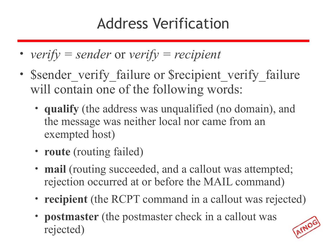## Address Verification

- *verify = sender* or *verify = recipient*
- Sender verify failure or Srecipient verify failure will contain one of the following words:
	- **qualify** (the address was unqualified (no domain), and the message was neither local nor came from an exempted host)
	- **route** (routing failed)
	- **mail** (routing succeeded, and a callout was attempted; rejection occurred at or before the MAIL command)
	- **recipient** (the RCPT command in a callout was rejected)
	- **postmaster** (the postmaster check in a callout was rejected)

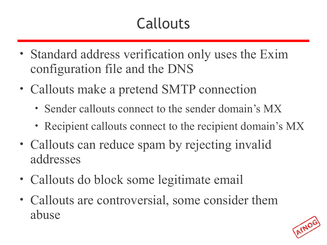# Callouts

- Standard address verification only uses the Exim configuration file and the DNS
- Callouts make a pretend SMTP connection
	- Sender callouts connect to the sender domain's MX
	- Recipient callouts connect to the recipient domain's MX
- Callouts can reduce spam by rejecting invalid addresses
- Callouts do block some legitimate email
- Callouts are controversial, some consider them abuse

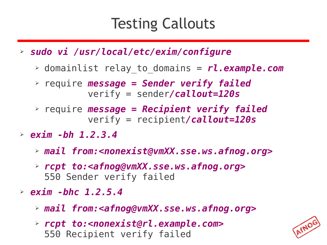#### Testing Callouts

- ➢ *sudo vi /usr/local/etc/exim/configure*
	- ➢ domainlist relay\_to\_domains = *rl.example.com*
	- ➢ require *message = Sender verify failed* verify = sender*/callout=120s*
	- ➢ require *message = Recipient verify failed* verify = recipient*/callout=120s*
- ➢ *exim -bh 1.2.3.4*
	- ➢ *mail from:<nonexist@vmXX.sse.ws.afnog.org>*
	- ➢ *rcpt to:<afnog@vmXX.sse.ws.afnog.org>* 550 Sender verify failed
- ➢ *exim -bhc 1.2.5.4*
	- ➢ *mail from:<afnog@vmXX.sse.ws.afnog.org>*
	- ➢ *rcpt to:<nonexist@rl.example.com>* 550 Recipient verify failed

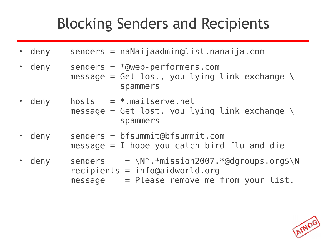### Blocking Senders and Recipients

- deny senders = naNaijaadmin@list.nanaija.com
- deny senders =  $*$ @web-performers.com message = Get lost, you lying link exchange  $\setminus$ spammers
- deny hosts  $=$  \*.mailserve.net message = Get lost, you lying link exchange  $\setminus$ spammers
- deny senders = bfsummit@bfsummit.com  $message = I$  hope you catch bird flu and die
- deny senders =  $\N^*$ .\*mission2007.\*@dgroups.org\$\N recipients = info@aidworld.org  $message$  = Please remove me from your list.

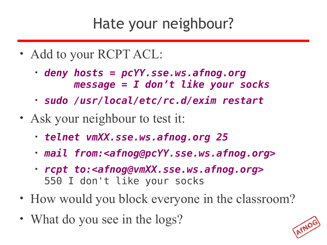#### Hate your neighbour?

- Add to your RCPT ACL:
	- *deny hosts = pcYY.sse.ws.afnog.org message = I don't like your socks*
	- *sudo /usr/local/etc/rc.d/exim restart*
- Ask your neighbour to test it:
	- *telnet vmXX.sse.ws.afnog.org 25*
	- *mail from:<afnog@pcYY.sse.ws.afnog.org>*
	- *rcpt to:<afnog@vmXX.sse.ws.afnog.org>* 550 I don't like your socks
- How would you block everyone in the classroom?
- What do you see in the logs?

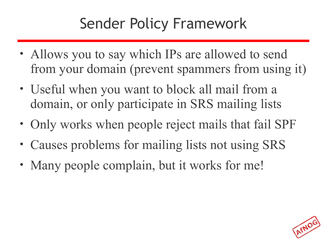## Sender Policy Framework

- Allows you to say which IPs are allowed to send from your domain (prevent spammers from using it)
- Useful when you want to block all mail from a domain, or only participate in SRS mailing lists
- Only works when people reject mails that fail SPF
- Causes problems for mailing lists not using SRS
- Many people complain, but it works for me!

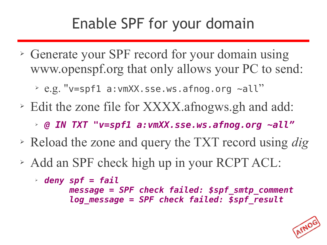## Enable SPF for your domain

- ➢ Generate your SPF record for your domain using www.openspf.org that only allows your PC to send:
	- ➢ e.g. "v=spf1 a:vmXX.sse.ws.afnog.org ~all"
- ➢ Edit the zone file for XXXX.afnogws.gh and add:
	- ➢ *@ IN TXT "v=spf1 a:vmXX.sse.ws.afnog.org ~all"*
- ➢ Reload the zone and query the TXT record using *dig*
- ➢ Add an SPF check high up in your RCPT ACL:

```
➢ deny spf = fail
       message = SPF check failed: $spf_smtp_comment
        log_message = SPF check failed: $spf_result
```
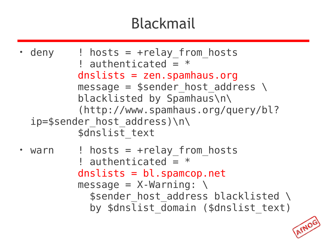# Blackmail

```
• deny \cdot! hosts = +relay from hosts
          ! authenticated = * dnslists = zen.spamhaus.org
          message = $sender host address \setminus blacklisted by Spamhaus\n\
           (http://www.spamhaus.org/query/bl?
  ip=$sender_host_address)\n\
          $dnslist text
 warn \qquad ! hosts = +relay from hosts
          ! authenticated = * dnslists = bl.spamcop.net
          message = X-Warning: \ \ \ \ \$sender host address blacklisted \
             by \frac{1}{1}st domain ($dnslist text)
```
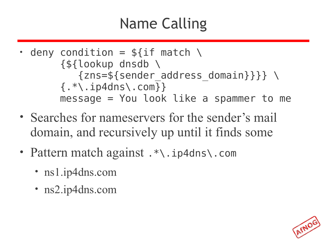# Name Calling

- deny condition =  $$if match \setminus$  {\${lookup dnsdb \  $\{zns = $$ {sender address domain}}} \  $\{ .$ \*\.ip4dns\.com}} message = You look like a spammer to me
- Searches for nameservers for the sender's mail domain, and recursively up until it finds some
- Pattern match against . \*\. ip4dns\. com
	- ns1.ip4dns.com
	- ns2.ip4dns.com

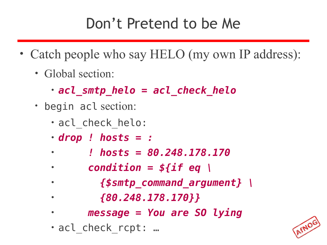## Don't Pretend to be Me

- Catch people who say HELO (my own IP address):
	- Global section:
		- *acl\_smtp\_helo = acl\_check\_helo*
	- begin acl section:
		- acl\_check\_helo:
		- *drop ! hosts = :*
		- • *! hosts = 80.248.178.170*
		- • *condition = \${if eq \*
		- • *{\$smtp\_command\_argument} \*
		- • *{80.248.178.170}}*
		- • *message = You are SO lying*
		- acl\_check\_rcpt: …

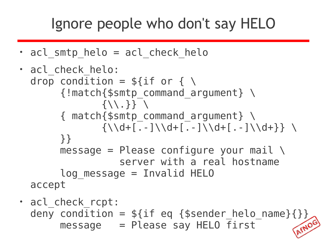#### Ignore people who don't say HELO

 $\cdot$  acl smtp helo = acl check helo

```
• acl check helo:
  drop condition = $if or { \
        {!match{$smtp_command_argument} \
               \{\setminus\{\},\} \} { match{$smtp_command_argument} \
               {\{\}\{d+[\,.\,-\,]\}\{d+[\,.\,-\,]\}\} }}
       message = Please configure your mail \setminus server with a real hostname
        log_message = Invalid HELO
  accept
```
• acl check rcpt: deny condition =  $$if eq {$sender_helo_name}{}}$ <br>message = Please say HELO first  $message$  = Please say HELO  $\overline{f}$ irst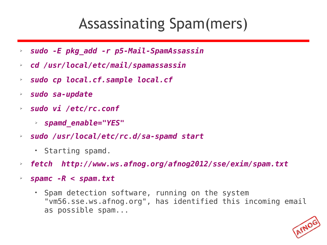#### Assassinating Spam(mers)

- ➢ *sudo -E pkg\_add -r p5-Mail-SpamAssassin*
- ➢ *cd /usr/local/etc/mail/spamassassin*
- ➢ *sudo cp local.cf.sample local.cf*
- ➢ *sudo sa-update*
- ➢ *sudo vi /etc/rc.conf*
	- ➢ *spamd\_enable="YES"*
- ➢ *sudo /usr/local/etc/rc.d/sa-spamd start*
	- Starting spamd.
- ➢ *fetch http://www.ws.afnog.org/afnog2012/sse/exim/spam.txt*
- ➢ *spamc -R < spam.txt*
	- Spam detection software, running on the system "vm56.sse.ws.afnog.org", has identified this incoming email as possible spam...

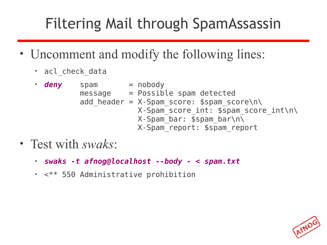## Filtering Mail through SpamAssassin

- Uncomment and modify the following lines:
	- acl check data
	- **deny** spam = nobody message = Possible spam detected add header =  $X-Spam score: $spam score\n\$  X-Spam\_score\_int: \$spam\_score\_int\n\  $X$ -Spam bar:  $\overline{\$spam}$  bar $\overline{\wedge}$ X-Spam\_report: \$spam\_report
- Test with *swaks*:
	- *swaks -t afnog@localhost --body < spam.txt*
	- <\*\* 550 Administrative prohibition

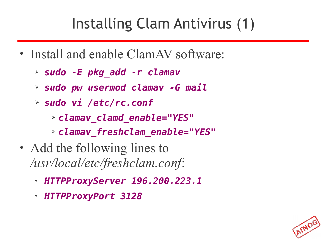## Installing Clam Antivirus (1)

- Install and enable ClamAV software:
	- ➢ *sudo -E pkg\_add -r clamav*
	- ➢ *sudo pw usermod clamav -G mail*
	- ➢ *sudo vi /etc/rc.conf*
		- ➢ *clamav\_clamd\_enable="YES"*
		- ➢ *clamav\_freshclam\_enable="YES"*
- Add the following lines to */usr/local/etc/freshclam.conf*:
	- *HTTPProxyServer 196.200.223.1*
	- *HTTPProxyPort 3128*

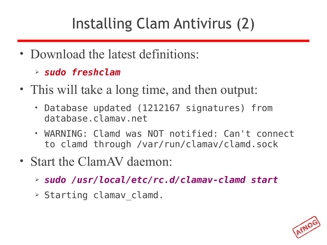# Installing Clam Antivirus (2)

- Download the latest definitions:
	- ➢ *sudo freshclam*
- This will take a long time, and then output:
	- Database updated (1212167 signatures) from database.clamav.net
	- WARNING: Clamd was NOT notified: Can't connect to clamd through /var/run/clamav/clamd.sock
- Start the ClamAV daemon:
	- ➢ *sudo /usr/local/etc/rc.d/clamav-clamd start*
	- ➢ Starting clamav\_clamd.

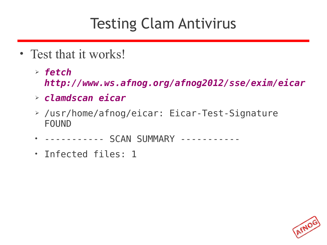### Testing Clam Antivirus

- Test that it works!
	- ➢ *fetch http://www.ws.afnog.org/afnog2012/sse/exim/eicar*
	- ➢ *clamdscan eicar*
	- ➢ /usr/home/afnog/eicar: Eicar-Test-Signature FOUND
	- ----------- SCAN SUMMARY -----------
	- Infected files: 1

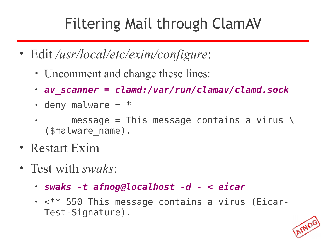## Filtering Mail through ClamAV

- Edit */usr/local/etc/exim/configure*:
	- Uncomment and change these lines:
	- *av\_scanner = clamd:/var/run/clamav/clamd.sock*
	- $\cdot$  deny malware =  $*$
	- message = This message contains a virus  $\setminus$ (\$malware\_name).
- Restart Exim
- Test with *swaks*:
	- *swaks -t afnog@localhost -d < eicar*
	- <\*\* 550 This message contains a virus (Eicar-Test-Signature).

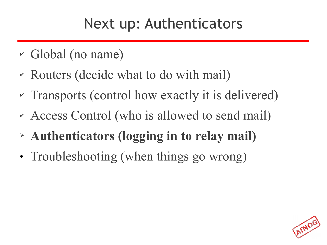### Next up: Authenticators

- ✔ Global (no name)
- ✔ Routers (decide what to do with mail)
- ✔ Transports (control how exactly it is delivered)
- ✔ Access Control (who is allowed to send mail)
- ➢ **Authenticators (logging in to relay mail)**
- Troubleshooting (when things go wrong)

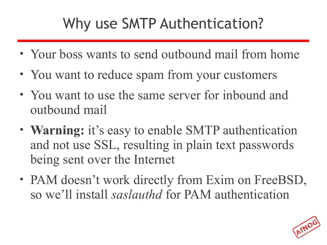## Why use SMTP Authentication?

- Your boss wants to send outbound mail from home
- You want to reduce spam from your customers
- You want to use the same server for inbound and outbound mail
- **Warning:** it's easy to enable SMTP authentication and not use SSL, resulting in plain text passwords being sent over the Internet
- PAM doesn't work directly from Exim on FreeBSD, so we'll install *saslauthd* for PAM authentication

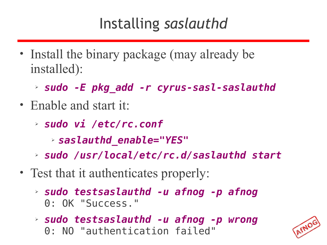## Installing *saslauthd*

- Install the binary package (may already be installed):
	- ➢ *sudo -E pkg\_add -r cyrus-sasl-saslauthd*
- Enable and start it:
	- ➢ *sudo vi /etc/rc.conf*
		- ➢ *saslauthd\_enable="YES"*
	- ➢ *sudo /usr/local/etc/rc.d/saslauthd start*
- Test that it authenticates properly:
	- ➢ *sudo testsaslauthd -u afnog -p afnog* 0: OK "Success."
	- ➢ *sudo testsaslauthd -u afnog -p wrong* 0: NO "authentication failed"

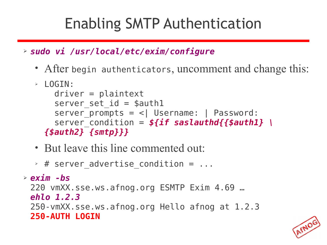## Enabling SMTP Authentication

➢ *sudo vi /usr/local/etc/exim/configure*

• After begin authenticators, uncomment and change this:

```
➢ LOGIN:
    driver = <i>plaintext</i>server set id = $auth1server prompts = <| Username: | Password:
    server condition = f\{if saslauthd{{$auth1} \
  {$auth2} {smtp}}}
```
- But leave this line commented out:
- $\rightarrow$  # server advertise condition = ...

```
➢ exim -bs
 220 vmXX.sse.ws.afnog.org ESMTP Exim 4.69 …
 ehlo 1.2.3
 250-vmXX.sse.ws.afnog.org Hello afnog at 1.2.3
 250-AUTH LOGIN
```
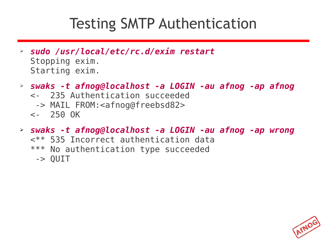#### Testing SMTP Authentication

- ➢ *sudo /usr/local/etc/rc.d/exim restart* Stopping exim. Starting exim.
- ➢ *swaks -t afnog@localhost -a LOGIN -au afnog -ap afnog*
	- <- 235 Authentication succeeded
		- -> MAIL FROM:<[afnog@freebsd82](mailto:afnog@freebsd82)>
	- <- 250 OK
- ➢ *swaks -t afnog@localhost -a LOGIN -au afnog -ap wrong* <\*\* 535 Incorrect authentication data \*\*\* No authentication type succeeded -> QUIT

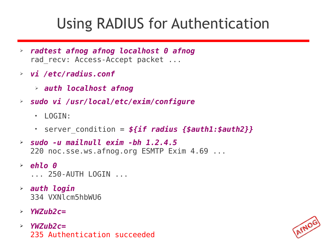## Using RADIUS for Authentication

- ➢ *radtest afnog afnog localhost 0 afnog* rad recv: Access-Accept packet ...
- ➢ *vi /etc/radius.conf*
	- ➢ *auth localhost afnog*
- ➢ *sudo vi /usr/local/etc/exim/configure*
	- $\cdot$  I OGTN:
	- $\cdot$  server condition =  $\frac{\epsilon}{\epsilon}$  *if radius {\$auth1:\$auth2}}*
- ➢ *sudo -u mailnull exim -bh 1.2.4.5* 220 noc.sse.ws.afnog.org ESMTP Exim 4.69 ...
- ➢ *ehlo 0* ... 250-AUTH LOGIN ...
- ➢ *auth login* 334 VXNlcm5hbWU6
- ➢ *YWZub2c=*
- ➢ *YWZub2c=* 235 Authentication succeeded

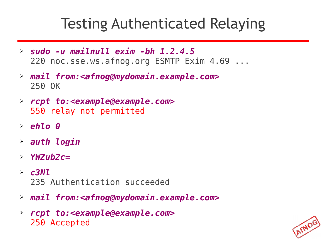### Testing Authenticated Relaying

- ➢ *sudo -u mailnull exim -bh 1.2.4.5* 220 noc.sse.ws.afnog.org ESMTP Exim 4.69 ...
- ➢ *mail from:<afnog@mydomain.example.com>* 250 OK
- ➢ *rcpt to:<example@example.com>* 550 relay not permitted
- ➢ *ehlo 0*
- ➢ *auth login*
- ➢ *YWZub2c=*
- ➢ *c3Nl* 235 Authentication succeeded
- ➢ *mail from:<afnog@mydomain.example.com>*
- ➢ *rcpt to:<example@example.com>* 250 Accepted

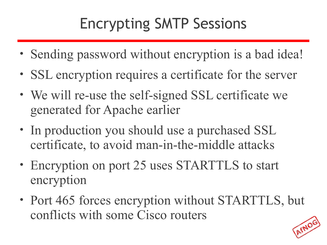# Encrypting SMTP Sessions

- Sending password without encryption is a bad idea!
- SSL encryption requires a certificate for the server
- We will re-use the self-signed SSL certificate we generated for Apache earlier
- In production you should use a purchased SSL certificate, to avoid man-in-the-middle attacks
- Encryption on port 25 uses STARTTLS to start encryption
- Port 465 forces encryption without STARTTLS, but conflicts with some Cisco routers

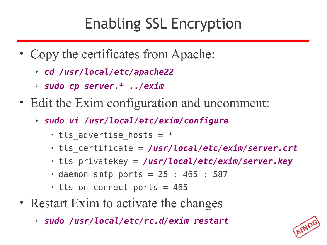## Enabling SSL Encryption

- Copy the certificates from Apache:
	- ➢ *cd /usr/local/etc/apache22*
	- ➢ *sudo cp server.\* ../exim*
- Edit the Exim configuration and uncomment:
	- ➢ *sudo vi /usr/local/etc/exim/configure*
		- $\cdot$  tls advertise hosts =  $*$
		- tls\_certificate = */usr/local/etc/exim/server.crt*
		- tls\_privatekey = */usr/local/etc/exim/server.key*
		- $\cdot$  daemon smtp ports = 25 : 465 : 587
		- $\cdot$  tls on connect ports = 465
- Restart Exim to activate the changes
	- ➢ *sudo /usr/local/etc/rc.d/exim restart*

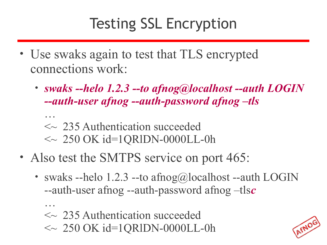## Testing SSL Encryption

- Use swaks again to test that TLS encrypted connections work:
	- *swaks --helo 1.2.3 --to afnog@localhost --auth LOGIN --auth-user afnog --auth-password afnog –tls*
		- …  $\sim$  235 Authentication succeeded  $\sim 250$  OK id=1QRlDN-0000LL-0h
- Also test the SMTPS service on port 465:
	- swaks --helo 1.2.3 --to afnog@localhost --auth LOGIN --auth-user afnog --auth-password afnog –tls*c*
		- … <~ 235 Authentication succeeded  $\sim 250$  OK id=1QRlDN-0000LL-0h

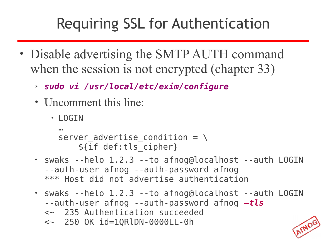## Requiring SSL for Authentication

- Disable advertising the SMTP AUTH command when the session is not encrypted (chapter 33)
	- ➢ *sudo vi /usr/local/etc/exim/configure*
	- Uncomment this line:
		- LOGIN

```
… 
server advertise condition = \setminus ${if def:tls_cipher}
```
- swaks --helo 1.2.3 --to afnog@localhost --auth LOGIN --auth-user afnog --auth-password afnog \*\*\* Host did not advertise authentication
- swaks --helo 1.2.3 --to afnog@localhost --auth LOGIN --auth-user afnog --auth-password afnog *–tls*
	- <~ 235 Authentication succeeded
	- <~ 250 OK id=1QRlDN-0000LL-0h

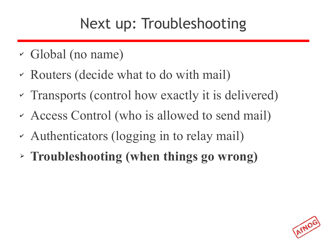## Next up: Troubleshooting

- ✔ Global (no name)
- ✔ Routers (decide what to do with mail)
- ✔ Transports (control how exactly it is delivered)
- ✔ Access Control (who is allowed to send mail)
- ✔ Authenticators (logging in to relay mail)
- ➢ **Troubleshooting (when things go wrong)**

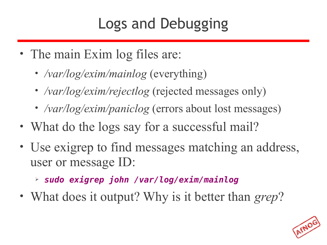## Logs and Debugging

- The main Exim log files are:
	- */var/log/exim/mainlog* (everything)
	- */var/log/exim/rejectlog* (rejected messages only)
	- */var/log/exim/paniclog* (errors about lost messages)
- What do the logs say for a successful mail?
- Use exigrep to find messages matching an address, user or message ID:
	- ➢ *sudo exigrep john /var/log/exim/mainlog*
- What does it output? Why is it better than *grep*?

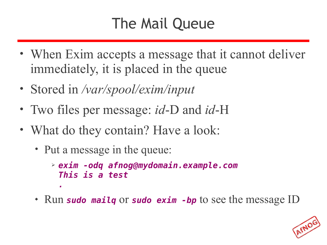# The Mail Queue

- When Exim accepts a message that it cannot deliver immediately, it is placed in the queue
- Stored in */var/spool/exim/input*
- Two files per message: *id*-D and *id*-H
- What do they contain? Have a look:
	- Put a message in the queue:
		- ➢ *exim -odq afnog@mydomain.example.com This is a test .*
	- Run *sudo mailq* or *sudo exim -bp* to see the message ID

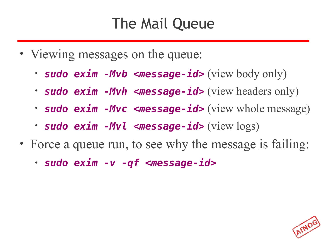## The Mail Queue

- Viewing messages on the queue:
	- *sudo exim -Mvb <message-id>* (view body only)
	- *sudo exim -Mvh <message-id>* (view headers only)
	- *sudo exim -Mvc <message-id>* (view whole message)
	- *sudo exim -Mvl <message-id>* (view logs)
- Force a queue run, to see why the message is failing:
	- *sudo exim -v -qf <message-id>*